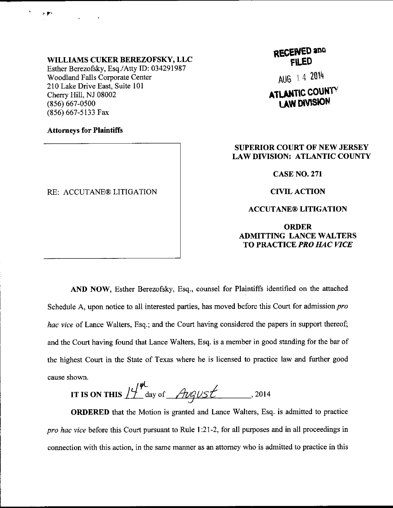### WILLIAMS CUKER BEREZOFSKY, LLC

Esther Berezofsky, Esq./Atty ID: 034291987 Woodland Falls Corporate Center 210 Lake Drive East, Suite 101 Cherry Hill, NJ 08002 (8s6) 667-0s00 (856) 667-5133 Fax

### Attorneys for Plaintiffs

t r

### RE: ACCUTANE® LITIGATION

**RECEWED and** FILED

AU6 14 <sup>2014</sup>

# **ATLANTIC COUNTY** LAW DIVISION

## SUPERIOR COURT OF NEW JERSEY LAW DIVISION: ATLANTIC COUNTY

CASE NO.271

CIVIL ACTION

### ACCUTANE@ LITIGATION

ORDER ADMITTING LANCE WALTERS TO PRACTICE PRO HAC VICE

AND NOW, Esther Berezofsky, Esq., counsel for Plaintiffs identified on the attached Schedule A, upon notice to all interested parties, has moved before this Court for admission *pro* hac vice of Lance Walters, Esq.; and the Court having considered the papers in support thereof; and the Court having found that Lance Walters, Esq. is a member in good standing for the bar of the highest Court in the State of Texas where he is licensed to practice law and further good

cause shown.<br>IT IS ON THIS  $\frac{1}{4}$  denote  $\frac{2}{10}$  of  $\frac{1}{2}$ IT IS ON THIS  $11^{\circ}$  day of *August* ... 2014

ORDERED that the Motion is granted and Lance Walters, Esq. is admitted to practice *pro hac vice* before this Court pursuant to Rule 1:21-2, for all purposes and in all proceedings in connection with this action, in the same manner as an attomey who is admitted to practice in this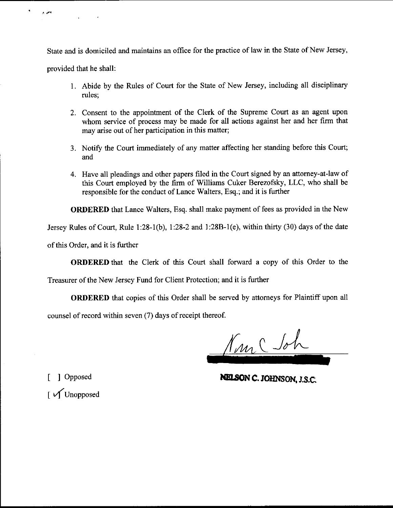State and is domiciled and maintains an office for the practice of law in the State of New Jersey,

provided that he shall:

 $\tilde{\mathbf{r}}$ 

يخي و

- 1. Abide by the Rules of Court for the State of New Jersey, including all disciplinary rules;
- Consent to the appointrnent of the Clerk of the Supreme Court as an agent upon whom service of process may be made for all actions against her and her firm that may arise out of her participation in this matter;
- 3. Notify the Court immediately of any matter affecting her standing before this Court; and
- 4. Have all pleadings and other papers filed in the Court signed by an attorney-at-law of this Court employed by the firm of Williams Cuker Berezofsky, LLC, who shall be responsible for the conduct of Larce Walters, Esq.; and it is further

ORDERED that Lance Walters, Esq. shall make payment of fees as provided in the New

Jersey Rules of Court, Rule  $1:28-1(b)$ ,  $1:28-2$  and  $1:28B-1(e)$ , within thirty (30) days of the date

of this Order, and it is further

ORDERED that the Clerk of this Court shall forward a copy of this Order to the

Treasurer of the New Jersey Fund for Client Protection; and it is further

ORDERED that copies of this Order shall be served by attorneys for Plaintiff upon all

counsel of record within seven (7) days of receipt thereof.

Nunc Joh

[ ] Opposed **NELSON C. JOHNSON, J.S.C.** 

 $\int$   $\sqrt{U}$  Unopposed